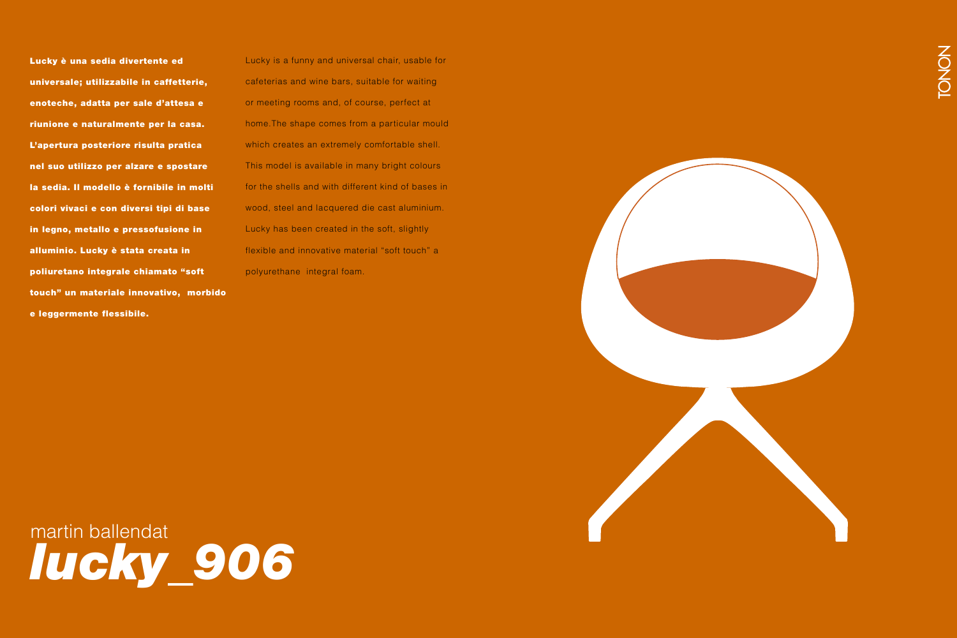Lucky è una sedia divertente ed universale; utilizzabile in caffetterie, enoteche, adatta per sale d'attesa e riunione e naturalmente per la casa. L'apertura posteriore risulta pratica nel suo utilizzo per alzare e spostare la sedia. Il modello è fornibile in molti colori vivaci e con diversi tipi di base in legno, metallo e pressofusione in alluminio. Lucky è stata creata in poliuretano integrale chiamato "soft touch" un materiale innovativo, morbido e leggermente flessibile.

Lucky is a funny and universal chair, usable for cafeterias and wine bars, suitable for waiting or meeting rooms and, of course, perfect at home.The shape comes from a particular mould which creates an extremely comfortable shell. This model is available in many bright colours for the shells and with different kind of bases in wood, steel and lacquered die cast aluminium. Lucky has been created in the soft, slightly flexible and innovative material "soft touch" a polyurethane integral foam.

martin ballendat *lucky\_906*